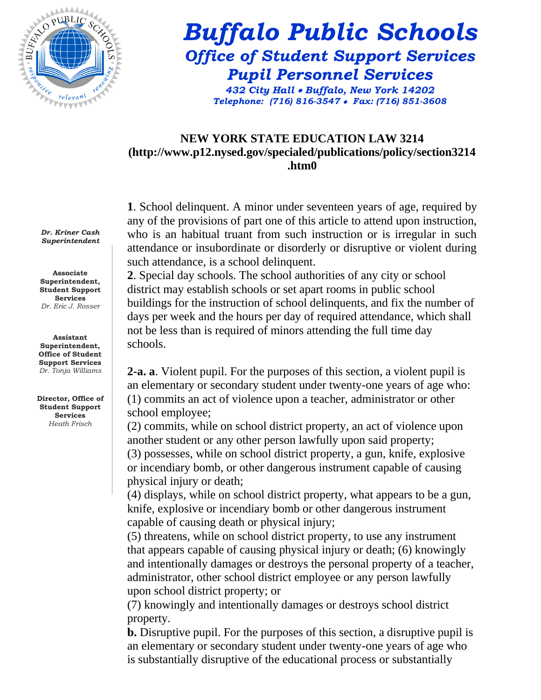

# *Buffalo Public Schools Office of Student Support Services Pupil Personnel Services*

*432 City Hall Buffalo, New York 14202 Telephone: (716) 816-3547 Fax: (716) 851-3608*

#### **NEW YORK STATE EDUCATION LAW 3214 (http://www.p12.nysed.gov/specialed/publications/policy/section3214 .htm0**

**1**. School delinquent. A minor under seventeen years of age, required by any of the provisions of part one of this article to attend upon instruction, who is an habitual truant from such instruction or is irregular in such attendance or insubordinate or disorderly or disruptive or violent during such attendance, is a school delinquent.

**2**. Special day schools. The school authorities of any city or school district may establish schools or set apart rooms in public school buildings for the instruction of school delinquents, and fix the number of days per week and the hours per day of required attendance, which shall not be less than is required of minors attending the full time day schools.

**2-a. a**. Violent pupil. For the purposes of this section, a violent pupil is an elementary or secondary student under twenty-one years of age who: (1) commits an act of violence upon a teacher, administrator or other school employee;

(2) commits, while on school district property, an act of violence upon another student or any other person lawfully upon said property;

(3) possesses, while on school district property, a gun, knife, explosive or incendiary bomb, or other dangerous instrument capable of causing physical injury or death;

(4) displays, while on school district property, what appears to be a gun, knife, explosive or incendiary bomb or other dangerous instrument capable of causing death or physical injury;

(5) threatens, while on school district property, to use any instrument that appears capable of causing physical injury or death; (6) knowingly and intentionally damages or destroys the personal property of a teacher, administrator, other school district employee or any person lawfully upon school district property; or

(7) knowingly and intentionally damages or destroys school district property.

**b.** Disruptive pupil. For the purposes of this section, a disruptive pupil is an elementary or secondary student under twenty-one years of age who is substantially disruptive of the educational process or substantially

*Dr. Kriner Cash Superintendent*

**Associate Superintendent, Student Support Services** *Dr. Eric J. Rosser*

**Assistant Superintendent, Office of Student Support Services** *Dr. Tonja Williams*

**Director, Office of Student Support Services**  *Heath Frisch*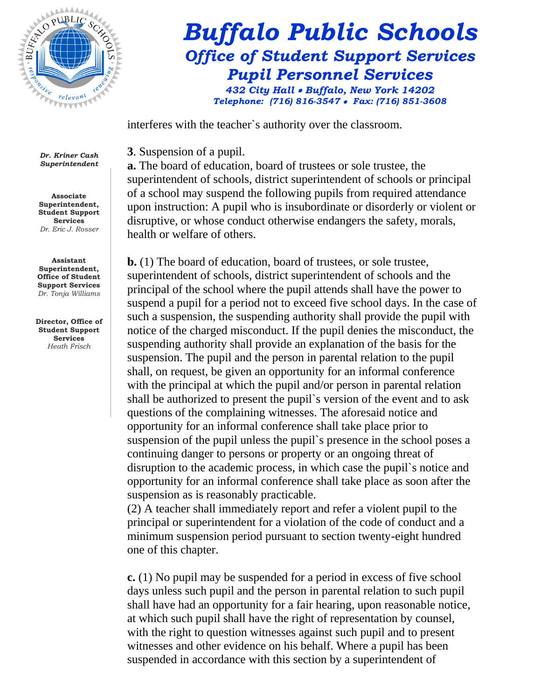

## *Buffalo Public Schools Office of Student Support Services Pupil Personnel Services 432 City Hall Buffalo, New York 14202*

*Telephone: (716) 816-3547 Fax: (716) 851-3608*

interferes with the teacher`s authority over the classroom.

**3**. Suspension of a pupil.

**a.** The board of education, board of trustees or sole trustee, the superintendent of schools, district superintendent of schools or principal of a school may suspend the following pupils from required attendance upon instruction: A pupil who is insubordinate or disorderly or violent or disruptive, or whose conduct otherwise endangers the safety, morals, health or welfare of others.

**b.** (1) The board of education, board of trustees, or sole trustee, superintendent of schools, district superintendent of schools and the principal of the school where the pupil attends shall have the power to suspend a pupil for a period not to exceed five school days. In the case of such a suspension, the suspending authority shall provide the pupil with notice of the charged misconduct. If the pupil denies the misconduct, the suspending authority shall provide an explanation of the basis for the suspension. The pupil and the person in parental relation to the pupil shall, on request, be given an opportunity for an informal conference with the principal at which the pupil and/or person in parental relation shall be authorized to present the pupil`s version of the event and to ask questions of the complaining witnesses. The aforesaid notice and opportunity for an informal conference shall take place prior to suspension of the pupil unless the pupil`s presence in the school poses a continuing danger to persons or property or an ongoing threat of disruption to the academic process, in which case the pupil`s notice and opportunity for an informal conference shall take place as soon after the suspension as is reasonably practicable.

(2) A teacher shall immediately report and refer a violent pupil to the principal or superintendent for a violation of the code of conduct and a minimum suspension period pursuant to section twenty-eight hundred one of this chapter.

**c.** (1) No pupil may be suspended for a period in excess of five school days unless such pupil and the person in parental relation to such pupil shall have had an opportunity for a fair hearing, upon reasonable notice, at which such pupil shall have the right of representation by counsel, with the right to question witnesses against such pupil and to present witnesses and other evidence on his behalf. Where a pupil has been suspended in accordance with this section by a superintendent of

*Dr. Kriner Cash Superintendent*

**Associate Superintendent, Student Support Services** *Dr. Eric J. Rosser*

**Assistant Superintendent, Office of Student Support Services** *Dr. Tonja Williams*

**Director, Office of Student Support Services**  *Heath Frisch*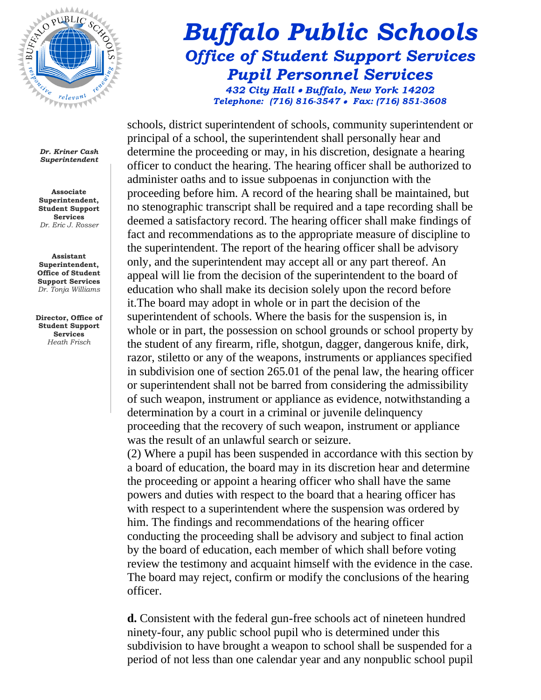

### *Buffalo Public Schools Office of Student Support Services Pupil Personnel Services 432 City Hall Buffalo, New York 14202 Telephone: (716) 816-3547 Fax: (716) 851-3608*

*Dr. Kriner Cash Superintendent*

**Associate Superintendent, Student Support Services** *Dr. Eric J. Rosser*

**Assistant Superintendent, Office of Student Support Services** *Dr. Tonja Williams*

**Director, Office of Student Support Services**  *Heath Frisch* 

schools, district superintendent of schools, community superintendent or principal of a school, the superintendent shall personally hear and determine the proceeding or may, in his discretion, designate a hearing officer to conduct the hearing. The hearing officer shall be authorized to administer oaths and to issue subpoenas in conjunction with the proceeding before him. A record of the hearing shall be maintained, but no stenographic transcript shall be required and a tape recording shall be deemed a satisfactory record. The hearing officer shall make findings of fact and recommendations as to the appropriate measure of discipline to the superintendent. The report of the hearing officer shall be advisory only, and the superintendent may accept all or any part thereof. An appeal will lie from the decision of the superintendent to the board of education who shall make its decision solely upon the record before it.The board may adopt in whole or in part the decision of the superintendent of schools. Where the basis for the suspension is, in whole or in part, the possession on school grounds or school property by the student of any firearm, rifle, shotgun, dagger, dangerous knife, dirk, razor, stiletto or any of the weapons, instruments or appliances specified in subdivision one of section 265.01 of the penal law, the hearing officer or superintendent shall not be barred from considering the admissibility of such weapon, instrument or appliance as evidence, notwithstanding a determination by a court in a criminal or juvenile delinquency proceeding that the recovery of such weapon, instrument or appliance was the result of an unlawful search or seizure.

(2) Where a pupil has been suspended in accordance with this section by a board of education, the board may in its discretion hear and determine the proceeding or appoint a hearing officer who shall have the same powers and duties with respect to the board that a hearing officer has with respect to a superintendent where the suspension was ordered by him. The findings and recommendations of the hearing officer conducting the proceeding shall be advisory and subject to final action by the board of education, each member of which shall before voting review the testimony and acquaint himself with the evidence in the case. The board may reject, confirm or modify the conclusions of the hearing officer.

**d.** Consistent with the federal gun-free schools act of nineteen hundred ninety-four, any public school pupil who is determined under this subdivision to have brought a weapon to school shall be suspended for a period of not less than one calendar year and any nonpublic school pupil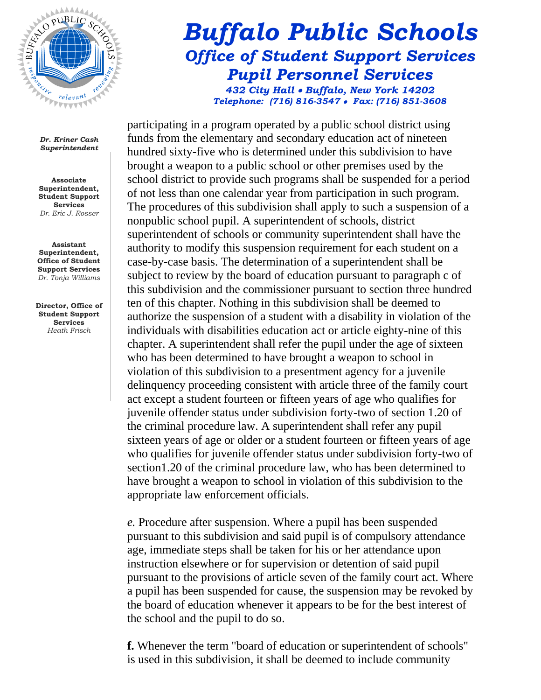

### *Buffalo Public Schools Office of Student Support Services Pupil Personnel Services 432 City Hall Buffalo, New York 14202 Telephone: (716) 816-3547 Fax: (716) 851-3608*

*Dr. Kriner Cash Superintendent*

**Associate Superintendent, Student Support Services** *Dr. Eric J. Rosser*

**Assistant Superintendent, Office of Student Support Services** *Dr. Tonja Williams*

**Director, Office of Student Support Services**  *Heath Frisch* 

participating in a program operated by a public school district using funds from the elementary and secondary education act of nineteen hundred sixty-five who is determined under this subdivision to have brought a weapon to a public school or other premises used by the school district to provide such programs shall be suspended for a period of not less than one calendar year from participation in such program. The procedures of this subdivision shall apply to such a suspension of a nonpublic school pupil. A superintendent of schools, district superintendent of schools or community superintendent shall have the authority to modify this suspension requirement for each student on a case-by-case basis. The determination of a superintendent shall be subject to review by the board of education pursuant to paragraph c of this subdivision and the commissioner pursuant to section three hundred ten of this chapter. Nothing in this subdivision shall be deemed to authorize the suspension of a student with a disability in violation of the individuals with disabilities education act or article eighty-nine of this chapter. A superintendent shall refer the pupil under the age of sixteen who has been determined to have brought a weapon to school in violation of this subdivision to a presentment agency for a juvenile delinquency proceeding consistent with article three of the family court act except a student fourteen or fifteen years of age who qualifies for juvenile offender status under subdivision forty-two of section 1.20 of the criminal procedure law. A superintendent shall refer any pupil sixteen years of age or older or a student fourteen or fifteen years of age who qualifies for juvenile offender status under subdivision forty-two of section1.20 of the criminal procedure law, who has been determined to have brought a weapon to school in violation of this subdivision to the appropriate law enforcement officials.

*e.* Procedure after suspension. Where a pupil has been suspended pursuant to this subdivision and said pupil is of compulsory attendance age, immediate steps shall be taken for his or her attendance upon instruction elsewhere or for supervision or detention of said pupil pursuant to the provisions of article seven of the family court act. Where a pupil has been suspended for cause, the suspension may be revoked by the board of education whenever it appears to be for the best interest of the school and the pupil to do so.

**f.** Whenever the term "board of education or superintendent of schools" is used in this subdivision, it shall be deemed to include community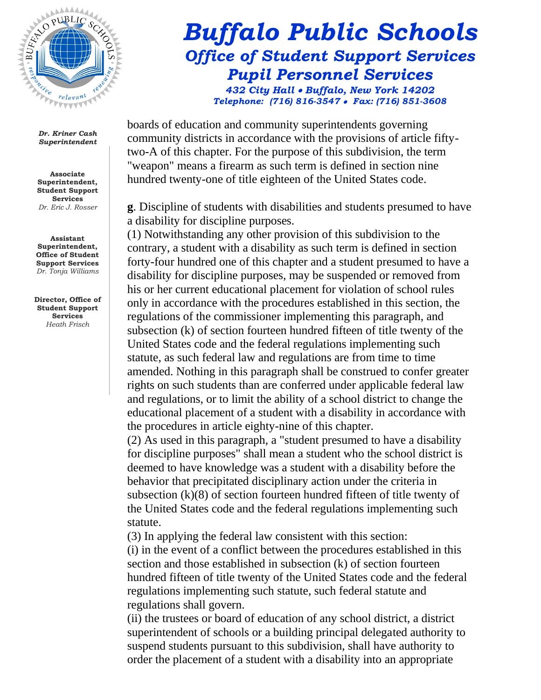

**Associate Superintendent, Student Support Services** *Dr. Eric J. Rosser*

**Assistant Superintendent, Office of Student Support Services** *Dr. Tonja Williams*

**Director, Office of Student Support Services**  *Heath Frisch* 

## *Buffalo Public Schools Office of Student Support Services Pupil Personnel Services 432 City Hall Buffalo, New York 14202 Telephone: (716) 816-3547 Fax: (716) 851-3608*

boards of education and community superintendents governing community districts in accordance with the provisions of article fiftytwo-A of this chapter. For the purpose of this subdivision, the term "weapon" means a firearm as such term is defined in section nine hundred twenty-one of title eighteen of the United States code.

**g**. Discipline of students with disabilities and students presumed to have a disability for discipline purposes.

(1) Notwithstanding any other provision of this subdivision to the contrary, a student with a disability as such term is defined in section forty-four hundred one of this chapter and a student presumed to have a disability for discipline purposes, may be suspended or removed from his or her current educational placement for violation of school rules only in accordance with the procedures established in this section, the regulations of the commissioner implementing this paragraph, and subsection (k) of section fourteen hundred fifteen of title twenty of the United States code and the federal regulations implementing such statute, as such federal law and regulations are from time to time amended. Nothing in this paragraph shall be construed to confer greater rights on such students than are conferred under applicable federal law and regulations, or to limit the ability of a school district to change the educational placement of a student with a disability in accordance with the procedures in article eighty-nine of this chapter.

(2) As used in this paragraph, a "student presumed to have a disability for discipline purposes" shall mean a student who the school district is deemed to have knowledge was a student with a disability before the behavior that precipitated disciplinary action under the criteria in subsection (k)(8) of section fourteen hundred fifteen of title twenty of the United States code and the federal regulations implementing such statute.

(3) In applying the federal law consistent with this section: (i) in the event of a conflict between the procedures established in this section and those established in subsection (k) of section fourteen hundred fifteen of title twenty of the United States code and the federal regulations implementing such statute, such federal statute and regulations shall govern.

(ii) the trustees or board of education of any school district, a district superintendent of schools or a building principal delegated authority to suspend students pursuant to this subdivision, shall have authority to order the placement of a student with a disability into an appropriate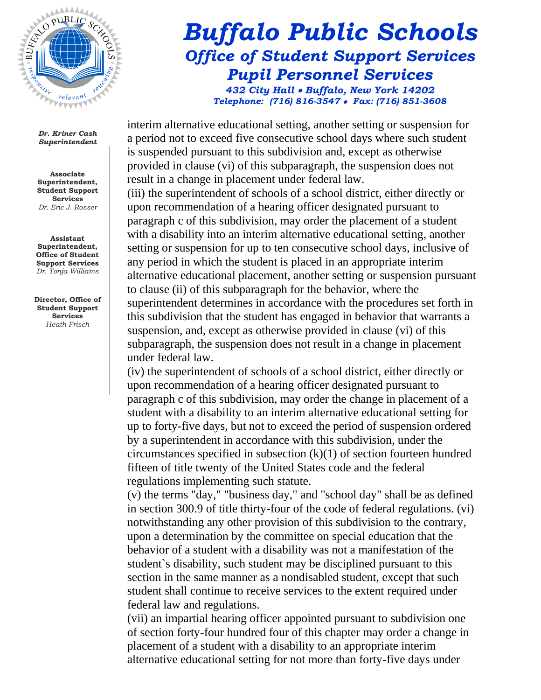

**Associate Superintendent, Student Support Services** *Dr. Eric J. Rosser*

**Assistant Superintendent, Office of Student Support Services** *Dr. Tonja Williams*

**Director, Office of Student Support Services**  *Heath Frisch* 

## *Buffalo Public Schools Office of Student Support Services Pupil Personnel Services 432 City Hall Buffalo, New York 14202 Telephone: (716) 816-3547 Fax: (716) 851-3608*

interim alternative educational setting, another setting or suspension for a period not to exceed five consecutive school days where such student is suspended pursuant to this subdivision and, except as otherwise provided in clause (vi) of this subparagraph, the suspension does not result in a change in placement under federal law.

(iii) the superintendent of schools of a school district, either directly or upon recommendation of a hearing officer designated pursuant to paragraph c of this subdivision, may order the placement of a student with a disability into an interim alternative educational setting, another setting or suspension for up to ten consecutive school days, inclusive of any period in which the student is placed in an appropriate interim alternative educational placement, another setting or suspension pursuant to clause (ii) of this subparagraph for the behavior, where the superintendent determines in accordance with the procedures set forth in this subdivision that the student has engaged in behavior that warrants a suspension, and, except as otherwise provided in clause (vi) of this subparagraph, the suspension does not result in a change in placement under federal law.

(iv) the superintendent of schools of a school district, either directly or upon recommendation of a hearing officer designated pursuant to paragraph c of this subdivision, may order the change in placement of a student with a disability to an interim alternative educational setting for up to forty-five days, but not to exceed the period of suspension ordered by a superintendent in accordance with this subdivision, under the circumstances specified in subsection (k)(1) of section fourteen hundred fifteen of title twenty of the United States code and the federal regulations implementing such statute.

(v) the terms "day," "business day," and "school day" shall be as defined in section 300.9 of title thirty-four of the code of federal regulations. (vi) notwithstanding any other provision of this subdivision to the contrary, upon a determination by the committee on special education that the behavior of a student with a disability was not a manifestation of the student`s disability, such student may be disciplined pursuant to this section in the same manner as a nondisabled student, except that such student shall continue to receive services to the extent required under federal law and regulations.

(vii) an impartial hearing officer appointed pursuant to subdivision one of section forty-four hundred four of this chapter may order a change in placement of a student with a disability to an appropriate interim alternative educational setting for not more than forty-five days under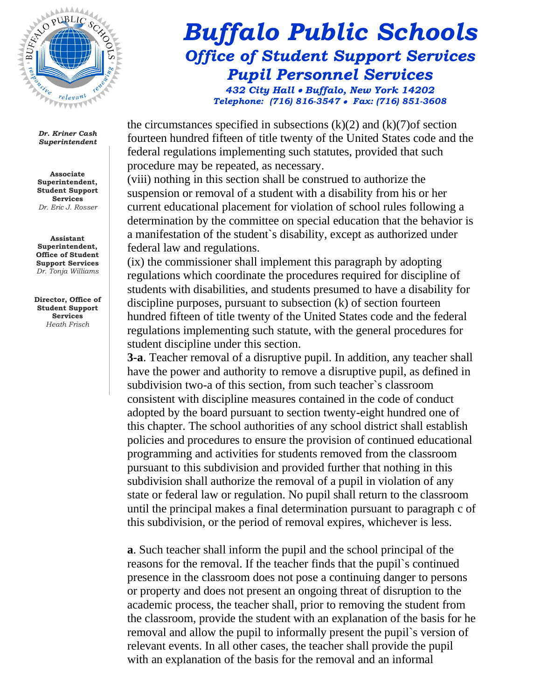

**Associate Superintendent, Student Support Services** *Dr. Eric J. Rosser*

**Assistant Superintendent, Office of Student Support Services** *Dr. Tonja Williams*

**Director, Office of Student Support Services**  *Heath Frisch* 

## *Buffalo Public Schools Office of Student Support Services Pupil Personnel Services 432 City Hall Buffalo, New York 14202 Telephone: (716) 816-3547 Fax: (716) 851-3608*

the circumstances specified in subsections  $(k)(2)$  and  $(k)(7)$  of section fourteen hundred fifteen of title twenty of the United States code and the federal regulations implementing such statutes, provided that such procedure may be repeated, as necessary.

(viii) nothing in this section shall be construed to authorize the suspension or removal of a student with a disability from his or her current educational placement for violation of school rules following a determination by the committee on special education that the behavior is a manifestation of the student`s disability, except as authorized under federal law and regulations.

(ix) the commissioner shall implement this paragraph by adopting regulations which coordinate the procedures required for discipline of students with disabilities, and students presumed to have a disability for discipline purposes, pursuant to subsection (k) of section fourteen hundred fifteen of title twenty of the United States code and the federal regulations implementing such statute, with the general procedures for student discipline under this section.

**3-a**. Teacher removal of a disruptive pupil. In addition, any teacher shall have the power and authority to remove a disruptive pupil, as defined in subdivision two-a of this section, from such teacher`s classroom consistent with discipline measures contained in the code of conduct adopted by the board pursuant to section twenty-eight hundred one of this chapter. The school authorities of any school district shall establish policies and procedures to ensure the provision of continued educational programming and activities for students removed from the classroom pursuant to this subdivision and provided further that nothing in this subdivision shall authorize the removal of a pupil in violation of any state or federal law or regulation. No pupil shall return to the classroom until the principal makes a final determination pursuant to paragraph c of this subdivision, or the period of removal expires, whichever is less.

**a**. Such teacher shall inform the pupil and the school principal of the reasons for the removal. If the teacher finds that the pupil`s continued presence in the classroom does not pose a continuing danger to persons or property and does not present an ongoing threat of disruption to the academic process, the teacher shall, prior to removing the student from the classroom, provide the student with an explanation of the basis for he removal and allow the pupil to informally present the pupil`s version of relevant events. In all other cases, the teacher shall provide the pupil with an explanation of the basis for the removal and an informal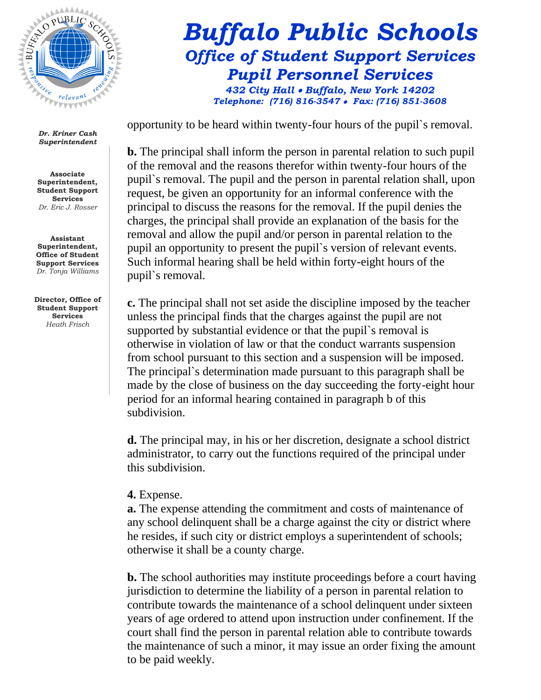

**Associate Superintendent, Student Support Services** *Dr. Eric J. Rosser*

**Assistant Superintendent, Office of Student Support Services** *Dr. Tonja Williams*

**Director, Office of Student Support Services**  *Heath Frisch* 

## *Buffalo Public Schools Office of Student Support Services Pupil Personnel Services 432 City Hall Buffalo, New York 14202 Telephone: (716) 816-3547 Fax: (716) 851-3608*

opportunity to be heard within twenty-four hours of the pupil`s removal.

**b.** The principal shall inform the person in parental relation to such pupil of the removal and the reasons therefor within twenty-four hours of the pupil`s removal. The pupil and the person in parental relation shall, upon request, be given an opportunity for an informal conference with the principal to discuss the reasons for the removal. If the pupil denies the charges, the principal shall provide an explanation of the basis for the removal and allow the pupil and/or person in parental relation to the pupil an opportunity to present the pupil`s version of relevant events. Such informal hearing shall be held within forty-eight hours of the pupil`s removal.

**c.** The principal shall not set aside the discipline imposed by the teacher unless the principal finds that the charges against the pupil are not supported by substantial evidence or that the pupil`s removal is otherwise in violation of law or that the conduct warrants suspension from school pursuant to this section and a suspension will be imposed. The principal`s determination made pursuant to this paragraph shall be made by the close of business on the day succeeding the forty-eight hour period for an informal hearing contained in paragraph b of this subdivision.

**d.** The principal may, in his or her discretion, designate a school district administrator, to carry out the functions required of the principal under this subdivision.

#### **4.** Expense.

**a.** The expense attending the commitment and costs of maintenance of any school delinquent shall be a charge against the city or district where he resides, if such city or district employs a superintendent of schools; otherwise it shall be a county charge.

**b.** The school authorities may institute proceedings before a court having jurisdiction to determine the liability of a person in parental relation to contribute towards the maintenance of a school delinquent under sixteen years of age ordered to attend upon instruction under confinement. If the court shall find the person in parental relation able to contribute towards the maintenance of such a minor, it may issue an order fixing the amount to be paid weekly.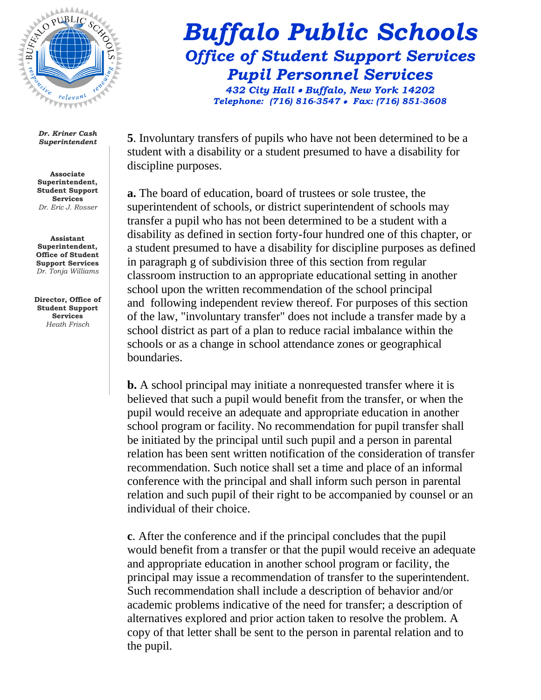

**Associate Superintendent, Student Support Services** *Dr. Eric J. Rosser*

**Assistant Superintendent, Office of Student Support Services** *Dr. Tonja Williams*

**Director, Office of Student Support Services**  *Heath Frisch* 

*Buffalo Public Schools Office of Student Support Services Pupil Personnel Services* 

*432 City Hall Buffalo, New York 14202 Telephone: (716) 816-3547 Fax: (716) 851-3608*

**5**. Involuntary transfers of pupils who have not been determined to be a student with a disability or a student presumed to have a disability for discipline purposes.

**a.** The board of education, board of trustees or sole trustee, the superintendent of schools, or district superintendent of schools may transfer a pupil who has not been determined to be a student with a disability as defined in section forty-four hundred one of this chapter, or a student presumed to have a disability for discipline purposes as defined in paragraph g of subdivision three of this section from regular classroom instruction to an appropriate educational setting in another school upon the written recommendation of the school principal and following independent review thereof. For purposes of this section of the law, "involuntary transfer" does not include a transfer made by a school district as part of a plan to reduce racial imbalance within the schools or as a change in school attendance zones or geographical boundaries.

**b.** A school principal may initiate a nonrequested transfer where it is believed that such a pupil would benefit from the transfer, or when the pupil would receive an adequate and appropriate education in another school program or facility. No recommendation for pupil transfer shall be initiated by the principal until such pupil and a person in parental relation has been sent written notification of the consideration of transfer recommendation. Such notice shall set a time and place of an informal conference with the principal and shall inform such person in parental relation and such pupil of their right to be accompanied by counsel or an individual of their choice.

**c**. After the conference and if the principal concludes that the pupil would benefit from a transfer or that the pupil would receive an adequate and appropriate education in another school program or facility, the principal may issue a recommendation of transfer to the superintendent. Such recommendation shall include a description of behavior and/or academic problems indicative of the need for transfer; a description of alternatives explored and prior action taken to resolve the problem. A copy of that letter shall be sent to the person in parental relation and to the pupil.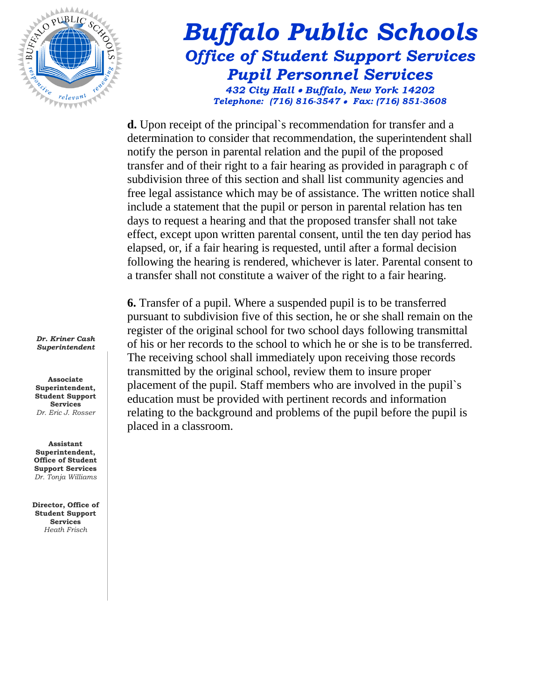

### *Buffalo Public Schools Office of Student Support Services Pupil Personnel Services 432 City Hall Buffalo, New York 14202 Telephone: (716) 816-3547 Fax: (716) 851-3608*

**d.** Upon receipt of the principal`s recommendation for transfer and a determination to consider that recommendation, the superintendent shall notify the person in parental relation and the pupil of the proposed transfer and of their right to a fair hearing as provided in paragraph c of subdivision three of this section and shall list community agencies and free legal assistance which may be of assistance. The written notice shall include a statement that the pupil or person in parental relation has ten days to request a hearing and that the proposed transfer shall not take effect, except upon written parental consent, until the ten day period has elapsed, or, if a fair hearing is requested, until after a formal decision following the hearing is rendered, whichever is later. Parental consent to a transfer shall not constitute a waiver of the right to a fair hearing.

**6.** Transfer of a pupil. Where a suspended pupil is to be transferred pursuant to subdivision five of this section, he or she shall remain on the register of the original school for two school days following transmittal of his or her records to the school to which he or she is to be transferred. The receiving school shall immediately upon receiving those records transmitted by the original school, review them to insure proper placement of the pupil. Staff members who are involved in the pupil`s education must be provided with pertinent records and information relating to the background and problems of the pupil before the pupil is placed in a classroom.

*Dr. Kriner Cash Superintendent*

**Associate Superintendent, Student Support Services** *Dr. Eric J. Rosser*

**Assistant Superintendent, Office of Student Support Services** *Dr. Tonja Williams*

**Director, Office of Student Support Services**  *Heath Frisch*